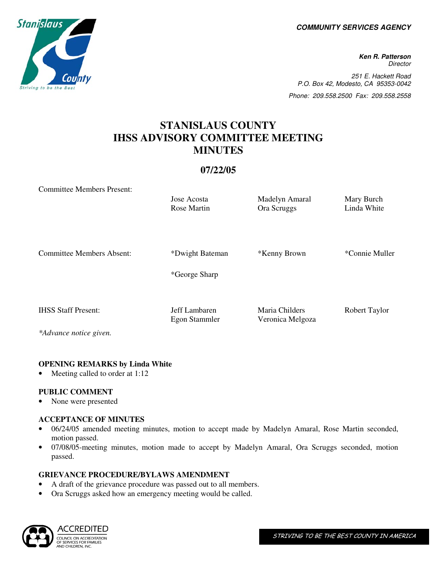**COMMUNITY SERVICES AGENCY** 

**Ken R. Patterson Director** 251 E. Hackett Road P.O. Box 42, Modesto, CA 95353-0042 Phone: 209.558.2500 Fax: 209.558.2558

# **STANISLAUS COUNTY IHSS ADVISORY COMMITTEE MEETING MINUTES**

# **07/22/05**

Jose Acosta Madelyn Amaral Mary Burch Rose Martin **Ora Scruggs** Linda White

Committee Members Present:

| <b>Committee Members Absent:</b> | *Dwight Bateman<br>*George Sharp | *Kenny Brown     | *Connie Muller |
|----------------------------------|----------------------------------|------------------|----------------|
| <b>IHSS Staff Present:</b>       | Jeff Lambaren                    | Maria Childers   | Robert Taylor  |
| *Advance notice given.           | Egon Stammler                    | Veronica Melgoza |                |

#### **OPENING REMARKS by Linda White**

Meeting called to order at 1:12

#### **PUBLIC COMMENT**

• None were presented

#### **ACCEPTANCE OF MINUTES**

- 06/24/05 amended meeting minutes, motion to accept made by Madelyn Amaral, Rose Martin seconded, motion passed.
- 07/08/05-meeting minutes, motion made to accept by Madelyn Amaral, Ora Scruggs seconded, motion passed.

#### **GRIEVANCE PROCEDURE/BYLAWS AMENDMENT**

- A draft of the grievance procedure was passed out to all members.
- Ora Scruggs asked how an emergency meeting would be called.



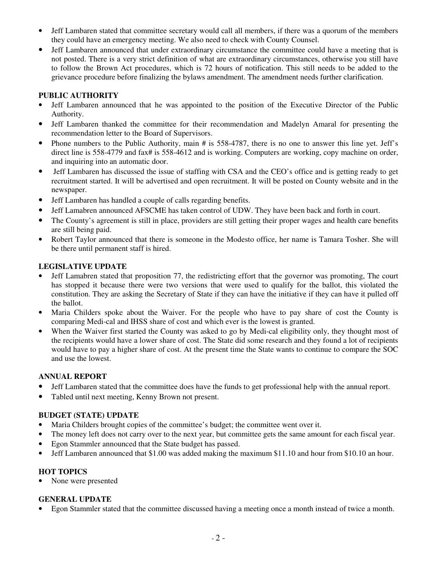- Jeff Lambaren stated that committee secretary would call all members, if there was a quorum of the members they could have an emergency meeting. We also need to check with County Counsel.
- Jeff Lambaren announced that under extraordinary circumstance the committee could have a meeting that is not posted. There is a very strict definition of what are extraordinary circumstances, otherwise you still have to follow the Brown Act procedures, which is 72 hours of notification. This still needs to be added to the grievance procedure before finalizing the bylaws amendment. The amendment needs further clarification.

### **PUBLIC AUTHORITY**

- Jeff Lambaren announced that he was appointed to the position of the Executive Director of the Public Authority.
- Jeff Lambaren thanked the committee for their recommendation and Madelyn Amaral for presenting the recommendation letter to the Board of Supervisors.
- Phone numbers to the Public Authority, main # is 558-4787, there is no one to answer this line yet. Jeff's direct line is 558-4779 and fax# is 558-4612 and is working. Computers are working, copy machine on order, and inquiring into an automatic door.
- Jeff Lambaren has discussed the issue of staffing with CSA and the CEO's office and is getting ready to get recruitment started. It will be advertised and open recruitment. It will be posted on County website and in the newspaper.
- Jeff Lambaren has handled a couple of calls regarding benefits.
- Jeff Lamabren announced AFSCME has taken control of UDW. They have been back and forth in court.
- The County's agreement is still in place, providers are still getting their proper wages and health care benefits are still being paid.
- Robert Taylor announced that there is someone in the Modesto office, her name is Tamara Tosher. She will be there until permanent staff is hired.

## **LEGISLATIVE UPDATE**

- Jeff Lamabren stated that proposition 77, the redistricting effort that the governor was promoting, The court has stopped it because there were two versions that were used to qualify for the ballot, this violated the constitution. They are asking the Secretary of State if they can have the initiative if they can have it pulled off the ballot.
- Maria Childers spoke about the Waiver. For the people who have to pay share of cost the County is comparing Medi-cal and IHSS share of cost and which ever is the lowest is granted.
- When the Waiver first started the County was asked to go by Medi-cal eligibility only, they thought most of the recipients would have a lower share of cost. The State did some research and they found a lot of recipients would have to pay a higher share of cost. At the present time the State wants to continue to compare the SOC and use the lowest.

#### **ANNUAL REPORT**

- Jeff Lambaren stated that the committee does have the funds to get professional help with the annual report.
- Tabled until next meeting, Kenny Brown not present.

#### **BUDGET (STATE) UPDATE**

- Maria Childers brought copies of the committee's budget; the committee went over it.
- The money left does not carry over to the next year, but committee gets the same amount for each fiscal year.
- Egon Stammler announced that the State budget has passed.
- Jeff Lambaren announced that \$1.00 was added making the maximum \$11.10 and hour from \$10.10 an hour.

#### **HOT TOPICS**

• None were presented

#### **GENERAL UPDATE**

• Egon Stammler stated that the committee discussed having a meeting once a month instead of twice a month.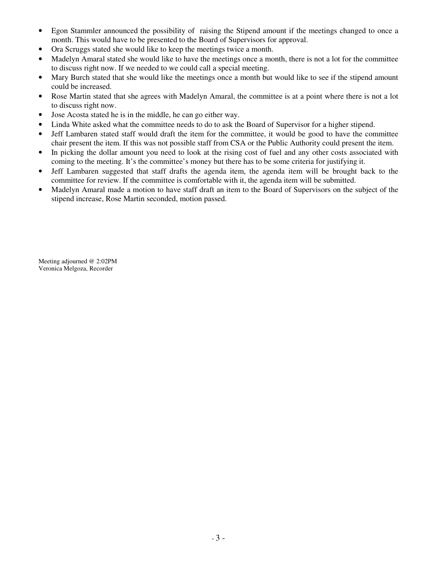- Egon Stammler announced the possibility of raising the Stipend amount if the meetings changed to once a month. This would have to be presented to the Board of Supervisors for approval.
- Ora Scruggs stated she would like to keep the meetings twice a month.
- Madelyn Amaral stated she would like to have the meetings once a month, there is not a lot for the committee to discuss right now. If we needed to we could call a special meeting.
- Mary Burch stated that she would like the meetings once a month but would like to see if the stipend amount could be increased.
- Rose Martin stated that she agrees with Madelyn Amaral, the committee is at a point where there is not a lot to discuss right now.
- Jose Acosta stated he is in the middle, he can go either way.
- Linda White asked what the committee needs to do to ask the Board of Supervisor for a higher stipend.
- Jeff Lambaren stated staff would draft the item for the committee, it would be good to have the committee chair present the item. If this was not possible staff from CSA or the Public Authority could present the item.
- In picking the dollar amount you need to look at the rising cost of fuel and any other costs associated with coming to the meeting. It's the committee's money but there has to be some criteria for justifying it.
- Jeff Lambaren suggested that staff drafts the agenda item, the agenda item will be brought back to the committee for review. If the committee is comfortable with it, the agenda item will be submitted.
- Madelyn Amaral made a motion to have staff draft an item to the Board of Supervisors on the subject of the stipend increase, Rose Martin seconded, motion passed.

Meeting adjourned @ 2:02PM Veronica Melgoza, Recorder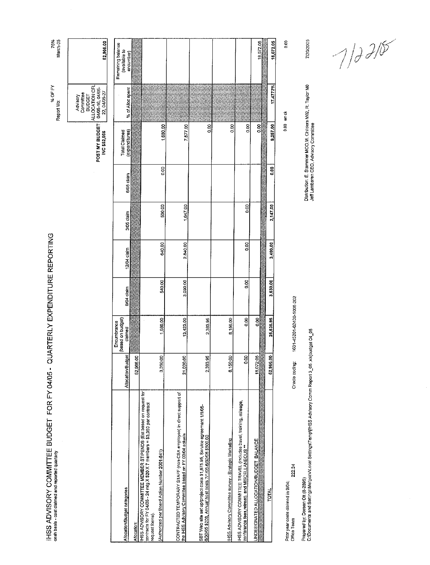| IHSS ADVISORY COMMITTEE BUDGET FOR FY 04/05<br>cash basis - cost claimed and reported quarterly                                                                   | ٠                 | QUARTERLY EXPENDITURE REPORTING             |            |             |            |            |                                                                                                      | % OF FY<br>Report Mo:                                                                        | 75%<br>March-05                    |
|-------------------------------------------------------------------------------------------------------------------------------------------------------------------|-------------------|---------------------------------------------|------------|-------------|------------|------------|------------------------------------------------------------------------------------------------------|----------------------------------------------------------------------------------------------|------------------------------------|
|                                                                                                                                                                   |                   |                                             |            |             |            |            | POST MY BUDGET<br>INC \$52,966                                                                       | ALLOCATION CFL<br>04/05-16, 04/05-<br>22, 04/05-27<br>Advisory<br>Committee<br><b>BUDGET</b> | 52,966.00                          |
| Allocation/Budget categories                                                                                                                                      | Allocation/Budget | (based on budget)<br>Encumbrance<br>claimed | 9/04 claim | 12/04 claim | 3/05 claim | 6/05 claim | (expenditures)<br><b>Total Claimed</b>                                                               | % of Alloc spent                                                                             | Remaining balance<br>(available to |
| Allocation:                                                                                                                                                       | 52,966.00         |                                             |            |             |            |            |                                                                                                      |                                                                                              | encumber)                          |
| IHSS ADVISORY COMMITTEE MEMBER STIPENDS (Est based on request for<br>contracts for FY 04/05 - 24 mig X \$20 X 7 members = \$3,360 par contract<br>request forms). |                   |                                             |            |             |            |            |                                                                                                      |                                                                                              |                                    |
| (Authorized per Board Action Number 2001-841)                                                                                                                     | 3,360.00          | 1,680.00                                    | 540.00     | 640.00      | 500.00     | 0.00       | 1,680.00                                                                                             |                                                                                              |                                    |
| CONTRACTED TEMPORARY STAFF (non-CSA employee) in direct support of<br><u>the IHSS Advisory Committee based on FY 03/04 actuals</u>                                | 21,000,00         | 13,423.00                                   | 3,390.00   | 2,840.00    | 1,647.00   |            | 7,577.00                                                                                             |                                                                                              |                                    |
| SBT Web site set up/project costs \$1,875.95, Service agreement 1/1/05-<br><u>8/30/05 \$208, Annual host costs 7/1/05-8/30/06 \$500.00</u>                        | 2,383.95          | 2,383.95                                    |            |             |            |            | a.oo                                                                                                 |                                                                                              |                                    |
| IHSS Advisory Committee survey - Strategic Marketing                                                                                                              | 8,150.00          | 8,150.00                                    |            |             |            |            | 0.00                                                                                                 |                                                                                              |                                    |
| iHSS ADVISORY COMMITTEE TRAVEL (includes travel, training, mileage,<br><u>conference fees retreat), and MISC</u> ELLANEOUS **                                     | $\frac{8}{2}$     | $\frac{5}{2}$                               | 80         | 8<br>0      | 8g         |            | 0.00                                                                                                 |                                                                                              |                                    |
| UNDESIGNATED ALLOCATION/BUDGET BALANCE                                                                                                                            | 18,072.05         | $\frac{8}{2}$                               |            |             |            |            | 8g                                                                                                   |                                                                                              | 18,072.05                          |
| <b>TOTAL</b>                                                                                                                                                      | 52,966.00         | 25,636.95                                   | 3,630.00   | 3,480.00    | 2,147.00   | 8.00       | 9,257.00                                                                                             | 17.4772%                                                                                     | 18,072.05                          |
| 222.34<br>Príor year costs claimed in 9/04:<br>Office Team                                                                                                        | Oracle coding:    | 1631-45201-62400-1006-202                   |            |             |            |            |                                                                                                      | $0.00$ err ck                                                                                | 5.00                               |
| Prepared by: Doreen Ott (6-2895)<br>C:\Documents and Settings\Melgoz\ALocal Settings\Temp\l HSS Advisory Comm Report 3_05                                         |                   | xisjbudget 04_05                            |            |             |            |            | Distribution: E. Stammler MOO,M. Childers M02, R. Taylor M0<br>Jeff Lambaren CEO, Advisory Committee |                                                                                              | 7/20/2005                          |
|                                                                                                                                                                   |                   |                                             |            |             |            |            |                                                                                                      |                                                                                              | 7/22                               |

 $\sqrt{2}$ 

 $\hat{\mathcal{A}}$ 

 $\sim$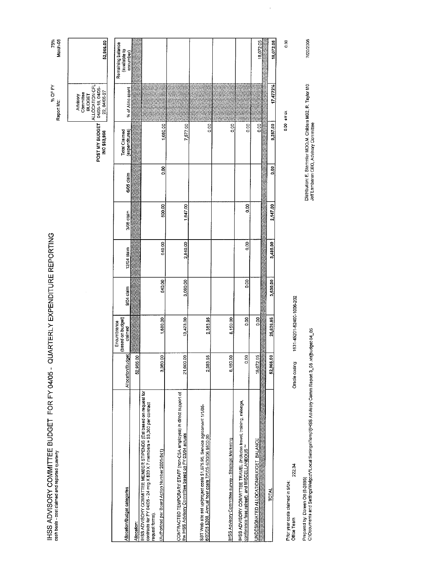| IHSS ADVISORY COMMITTEE BUDGET FOR FY 04/05 -<br>cash basis - cost claimed and reported quarterly                                                                 |                   | QUARTERLY EXPENDITURE REPORTING             |            |                 |            |            |                                                                                                      | % OF FY<br>Report Mo:                                                               | March-05<br>75%                                 |
|-------------------------------------------------------------------------------------------------------------------------------------------------------------------|-------------------|---------------------------------------------|------------|-----------------|------------|------------|------------------------------------------------------------------------------------------------------|-------------------------------------------------------------------------------------|-------------------------------------------------|
|                                                                                                                                                                   |                   |                                             |            |                 |            |            | POST MY BUDGET<br>INC \$52,966                                                                       | ALLOCATION CFL<br>04/05 16 04/05<br>22, 04/05-27<br>Committee<br>BUDGET<br>Advisory | 52,966.00                                       |
| Allocation/Budget categories                                                                                                                                      | Allocation/Budget | (based on budget)<br>Encumbrance<br>claimed | 9/04 claim | 12/04 claim     | 3/05 claim | 6/05 claim | <b>Total Claimed</b><br>(expenditures)                                                               | % of Alloc spent                                                                    | Remaining balance<br>(available to<br>encumber) |
| Allocation:                                                                                                                                                       | 52,966.00         |                                             |            |                 |            |            |                                                                                                      |                                                                                     |                                                 |
| IHSS ADVISORY COMMITTEE MEMBER STIPENDS (Est based on request for<br>contracts for FY 04/05 - 24 mig X \$20 X 7 members = \$3,360 per contract<br>request forms). |                   |                                             |            |                 |            |            |                                                                                                      |                                                                                     |                                                 |
| (Authorized per Board Action Number 2001-841)                                                                                                                     | 3,360.00          | 1,680.00                                    | 540.00     | 640.00          | 500.00     | 80         | 1,680.00                                                                                             |                                                                                     |                                                 |
| CONTRACTED TEMPORARY STAFF (non-CSA employee) in direct support of<br>the IHSS Advisory Committee based on EY 03/04 actuals                                       | 21,000.00         | 13,423.00                                   | 3,090.00   | 2,840,00        | 1,647.00   |            | 7,577.00                                                                                             |                                                                                     |                                                 |
| SBT Web site set up/project costs \$1,675.95, Service agreement 1/1/05-<br><u>6/30/05 \$208, Annual host costs 7/1/05-6/30/06 \$500.00</u>                        | 2,383.95          | 2,383.95                                    |            |                 |            |            | 0.00                                                                                                 |                                                                                     |                                                 |
| IHSS Advisory Committee survey - Strategic Marketing                                                                                                              | 8,150.00          | 8,150.00                                    |            |                 |            |            | 0.00                                                                                                 |                                                                                     |                                                 |
| HSS ADVISORY COMMITTEE TRAVEL (includes travel, training, mileage,<br>conference fees retreat), and MISCELLANEOUS **                                              | 0.00              | 0.00                                        | go         | $\frac{30}{20}$ | 0.00       |            | 0.00                                                                                                 |                                                                                     |                                                 |
| UNDESIGNATED ALLOCATION/BUDGET BALANCE                                                                                                                            | 18,072.05         | $\frac{8}{2}$                               |            |                 |            |            | go                                                                                                   |                                                                                     | 18,0/2.05                                       |
| <b>TOTAL</b>                                                                                                                                                      | 52,966.00         | 25,636.95                                   | 3,630.00   | 3,480.00        | 2,147.00   | š          | 9,257,00                                                                                             | 17.4772%                                                                            | 18,072.05                                       |
| 222.34<br>Prior year costs claimed in 9/04;<br>Office Team                                                                                                        | Oracle coding:    | 1631-45201-52400-1006-202                   |            |                 |            |            |                                                                                                      | 0.00 err.ck                                                                         | O.OO                                            |
| Prepared by: Doreen Ott (3-2895)<br>C:\Documents and Settings\Melgoz\ALocal Settings\Temp\[HSS Advisory Camm Report 3_05 .xls]budget 04_05                        |                   |                                             |            |                 |            |            | Distribution: E. Stammler MOO,M. Childers M02, R. Taylor M0<br>Jeff Lambaren CEO, Advisory Committee |                                                                                     | 7/20/2005                                       |

 $\frac{1}{2} \left( \frac{1}{2} \right)$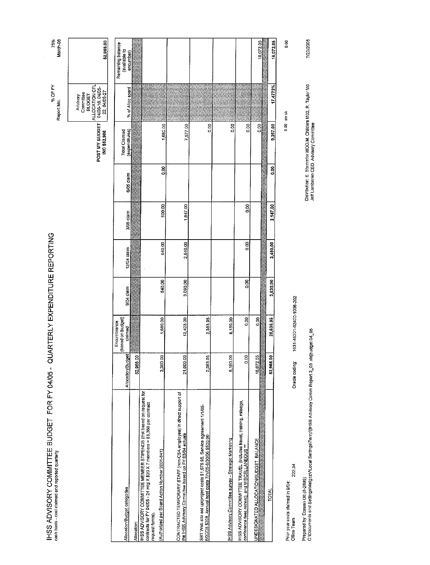| IHSS ADVISORY COMMITTEE BUDGET FOR FY 04/05 -<br>cash basis - cost claimed and reported quarterly                                                                                                                  |                   |                                             | QUARTERLY EXPENDITURE REPORTING |             |            |            |                                                                                                       | % OF FY<br>Report Mo:                                                                        | 75%<br>March-05                    |
|--------------------------------------------------------------------------------------------------------------------------------------------------------------------------------------------------------------------|-------------------|---------------------------------------------|---------------------------------|-------------|------------|------------|-------------------------------------------------------------------------------------------------------|----------------------------------------------------------------------------------------------|------------------------------------|
|                                                                                                                                                                                                                    |                   |                                             |                                 |             |            |            | POST MY BUDGET<br>INC \$52,966                                                                        | ALLOCATION CFL<br>04/05-18, 04/05-<br>22, 04/05-27<br>Committee<br><b>BUDGET</b><br>Advisory | 52,966.00                          |
| Allocation/Budget categories                                                                                                                                                                                       | Allocation/Budget | (based on budget)<br>Encumbrance<br>claimed | 9/04 claim                      | 12/04 claim | 3/05 claim | 5/05 claim | (expenditures)<br><b>Total Claimed</b>                                                                | % of Alloc spent                                                                             | Remaining balance<br>(available to |
| Allocation:                                                                                                                                                                                                        | 52,966.00         |                                             |                                 |             |            |            |                                                                                                       |                                                                                              | encumber)                          |
| IHSS ADVISORY COMMITTEE MEMBER STIPENDS (Est based on request for<br>contracts for FY 04/05 - 24 mig X \$20 X 7 members = \$3,360 per contract<br>(Authorized per Board Action Number 2001-841)<br>request forms). |                   |                                             |                                 |             |            |            |                                                                                                       |                                                                                              |                                    |
| CONTRACTED TEMPORARY STAFF (non-CSA employee) in direct support of<br><u>the IHSS Advisory Committee based on FY 03/04 ectuals</u>                                                                                 | 3,360.00          | 1,680.00                                    | 540.00                          | 640.00      | 500.00     | 8g         | 1,680,00                                                                                              |                                                                                              |                                    |
| SBT Web site set up/project costs \$1,675.95, Service agreement 1/1/05-<br><u>6/30/05 \$209, Annual host costs 7/1/05-8/30/06 \$500,00</u>                                                                         | 21,000.00         | 13,423.00                                   | 3,090.00                        | 2,840.00    | 1,647.00   |            | 7,577.00                                                                                              |                                                                                              |                                    |
|                                                                                                                                                                                                                    | 2,383.95          | 2,353.95                                    |                                 |             |            |            | ooo                                                                                                   |                                                                                              |                                    |
| IHSS Advisory Committee survey - Strategic Marketing                                                                                                                                                               | 8,150.00          | 8,150.00                                    |                                 |             |            |            | 8g                                                                                                    |                                                                                              |                                    |
| IHSS ADVISORY COMMITTEE TRAVEL (includes travel, training, mileage,<br>conference fees,retreat), and M!SCELLANEOUS **                                                                                              | 0.00              | 3,00                                        | g                               | go          | 8g         |            | 88                                                                                                    |                                                                                              |                                    |
| UNDESIGNATED ALLOCATION/BUDGET BALANCE                                                                                                                                                                             | 18,072.05         | $\frac{8}{10}$                              |                                 |             |            |            | 3g                                                                                                    |                                                                                              | 18,072.05                          |
| <b>TOTAL</b>                                                                                                                                                                                                       | 52,966.00         | 25,636.95                                   | 3,630.00                        | 3,480.00    | 2,147.00   | oo<br>O    | 9,257.00                                                                                              | 17.4772%                                                                                     | 18,072.05                          |
| 222.34<br>Prior year costs claimed in 9/04:<br>Office Team                                                                                                                                                         | Oracle coding:    | 1631-45201-62400-1006-202                   |                                 |             |            |            |                                                                                                       | 0.00 errck                                                                                   | 0.00                               |
| C:\Documents and Settings\MelgozY\Local Settings\Temp\(IHSS Advisory Comm Report 3_05 .xls)budget 04_05<br>Prepared by: Doreen Ott (8-2895)                                                                        |                   |                                             |                                 |             |            |            | Distribution: E. Stammler MOO, M. Childers M02, R. Taylor M0<br>Jeff Lambaren CEO, Advisory Committee |                                                                                              | 7/20/2005                          |